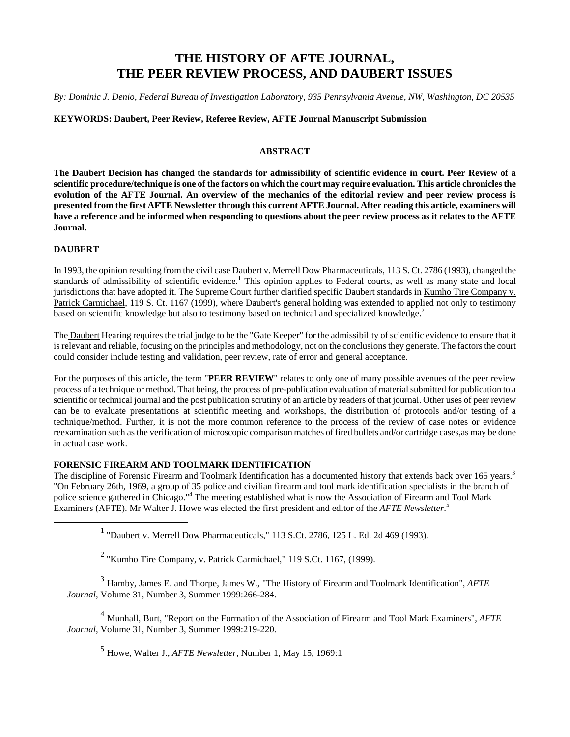# **THE HISTORY OF AFTE JOURNAL, THE PEER REVIEW PROCESS, AND DAUBERT ISSUES**

*By: Dominic J. Denio, Federal Bureau of Investigation Laboratory, 935 Pennsylvania Avenue, NW, Washington, DC 20535*

# **KEYWORDS: Daubert, Peer Review, Referee Review, AFTE Journal Manuscript Submission**

## **ABSTRACT**

**The Daubert Decision has changed the standards for admissibility of scientific evidence in court. Peer Review of a scientific procedure/technique is one of the factors on which the court may require evaluation. This article chronicles the evolution of the AFTE Journal. An overview of the mechanics of the editorial review and peer review process is presented from the first AFTE Newsletter through this current AFTE Journal. After reading this article, examiners will have a reference and be informed when responding to questions about the peer review process as it relates to the AFTE Journal.**

## **DAUBERT**

In 1993, the opinion resulting from the civil case Daubert v. Merrell Dow Pharmaceuticals, 113 S. Ct. 2786 (1993), changed the standards of admissibility of scientific evidence.<sup>1</sup> This opinion applies to Federal courts, as well as many state and local jurisdictions that have adopted it. The Supreme Court further clarified specific Daubert standards in Kumho Tire Company v. Patrick Carmichael, 119 S. Ct. 1167 (1999), where Daubert's general holding was extended to applied not only to testimony based on scientific knowledge but also to testimony based on technical and specialized knowledge.<sup>2</sup>

The Daubert Hearing requires the trial judge to be the "Gate Keeper" for the admissibility of scientific evidence to ensure that it is relevant and reliable, focusing on the principles and methodology, not on the conclusions they generate. The factors the court could consider include testing and validation, peer review, rate of error and general acceptance.

For the purposes of this article, the term "**PEER REVIEW**" relates to only one of many possible avenues of the peer review process of a technique or method. That being, the process of pre-publication evaluation of material submitted for publication to a scientific or technical journal and the post publication scrutiny of an article by readers of that journal. Other uses of peer review can be to evaluate presentations at scientific meeting and workshops, the distribution of protocols and/or testing of a technique/method. Further, it is not the more common reference to the process of the review of case notes or evidence reexamination such as the verification of microscopic comparison matches of fired bullets and/or cartridge cases,as may be done in actual case work.

# **FORENSIC FIREARM AND TOOLMARK IDENTIFICATION**

The discipline of Forensic Firearm and Toolmark Identification has a documented history that extends back over 165 years.<sup>3</sup> "On February 26th, 1969, a group of 35 police and civilian firearm and tool mark identification specialists in the branch of police science gathered in Chicago."<sup>4</sup> The meeting established what is now the Association of Firearm and Tool Mark Examiners (AFTE). Mr Walter J. Howe was elected the first president and editor of the *AFTE Newsletter*. 5

<u>1</u> <sup>1</sup> "Daubert v. Merrell Dow Pharmaceuticals," 113 S.Ct. 2786, 125 L. Ed. 2d 469 (1993).

 $2$  "Kumho Tire Company, v. Patrick Carmichael," 119 S.Ct. 1167, (1999).

<sup>3</sup> Hamby, James E. and Thorpe, James W., "The History of Firearm and Toolmark Identification", *AFTE Journal*, Volume 31, Number 3, Summer 1999:266-284.

<sup>4</sup> Munhall, Burt, "Report on the Formation of the Association of Firearm and Tool Mark Examiners", *AFTE Journal*, Volume 31, Number 3, Summer 1999:219-220.

<sup>5</sup> Howe, Walter J., *AFTE Newsletter*, Number 1, May 15, 1969:1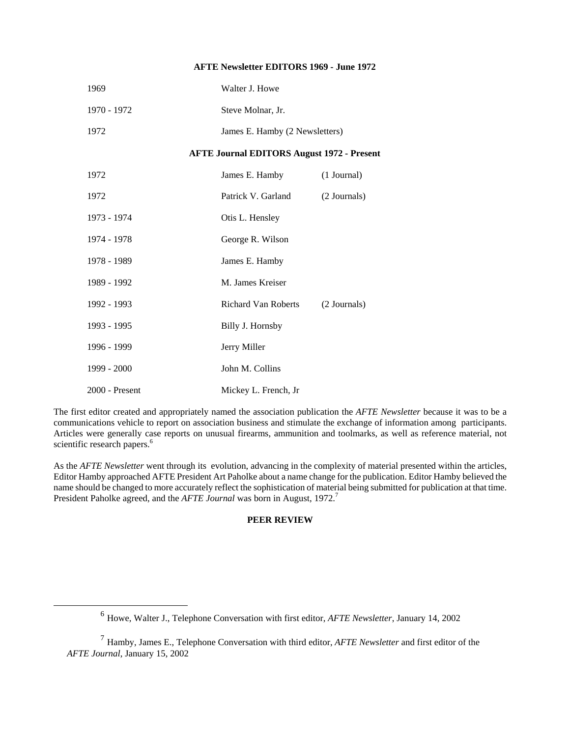### **AFTE Newsletter EDITORS 1969 - June 1972**

| 1969                                              | Walter J. Howe       |                                |  |
|---------------------------------------------------|----------------------|--------------------------------|--|
| 1970 - 1972                                       | Steve Molnar, Jr.    |                                |  |
| 1972                                              |                      | James E. Hamby (2 Newsletters) |  |
| <b>AFTE Journal EDITORS August 1972 - Present</b> |                      |                                |  |
| 1972                                              | James E. Hamby       | (1 Journal)                    |  |
| 1972                                              | Patrick V. Garland   | (2 Journals)                   |  |
| 1973 - 1974                                       | Otis L. Hensley      |                                |  |
| 1974 - 1978                                       | George R. Wilson     |                                |  |
| 1978 - 1989                                       | James E. Hamby       |                                |  |
| 1989 - 1992                                       | M. James Kreiser     |                                |  |
| 1992 - 1993                                       | Richard Van Roberts  | (2 Journals)                   |  |
| 1993 - 1995                                       | Billy J. Hornsby     |                                |  |
| 1996 - 1999                                       | Jerry Miller         |                                |  |
| 1999 - 2000                                       | John M. Collins      |                                |  |
| $2000 -$ Present                                  | Mickey L. French, Jr |                                |  |

The first editor created and appropriately named the association publication the *AFTE Newsletter* because it was to be a communications vehicle to report on association business and stimulate the exchange of information among participants. Articles were generally case reports on unusual firearms, ammunition and toolmarks, as well as reference material, not scientific research papers.<sup>6</sup>

As the *AFTE Newsletter* went through its evolution, advancing in the complexity of material presented within the articles, Editor Hamby approached AFTE President Art Paholke about a name change for the publication. Editor Hamby believed the name should be changed to more accurately reflect the sophistication of material being submitted for publication at that time. President Paholke agreed, and the *AFTE Journal* was born in August, 1972.<sup>7</sup>

#### **PEER REVIEW**

 <sup>6</sup> Howe, Walter J., Telephone Conversation with first editor, *AFTE Newsletter*, January 14, 2002

<sup>7</sup> Hamby, James E., Telephone Conversation with third editor, *AFTE Newsletter* and first editor of the *AFTE Journal*, January 15, 2002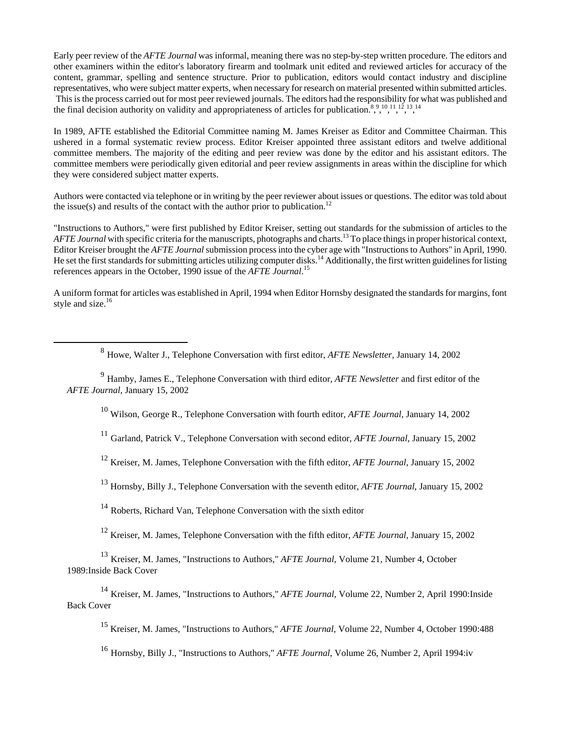Early peer review of the *AFTE Journal* was informal, meaning there was no step-by-step written procedure. The editors and other examiners within the editor's laboratory firearm and toolmark unit edited and reviewed articles for accuracy of the content, grammar, spelling and sentence structure. Prior to publication, editors would contact industry and discipline representatives, who were subject matter experts, when necessary for research on material presented within submitted articles. This is the process carried out for most peer reviewed journals. The editors had the responsibility for what was published and the final decision authority on validity and appropriateness of articles for publication.<sup>8,9,10,11,12,13,14</sup>

In 1989, AFTE established the Editorial Committee naming M. James Kreiser as Editor and Committee Chairman. This ushered in a formal systematic review process. Editor Kreiser appointed three assistant editors and twelve additional committee members. The majority of the editing and peer review was done by the editor and his assistant editors. The committee members were periodically given editorial and peer review assignments in areas within the discipline for which they were considered subject matter experts.

Authors were contacted via telephone or in writing by the peer reviewer about issues or questions. The editor was told about the issue(s) and results of the contact with the author prior to publication.<sup>12</sup>

"Instructions to Authors," were first published by Editor Kreiser, setting out standards for the submission of articles to the *AFTE Journal* with specific criteria for the manuscripts, photographs and charts.<sup>13</sup> To place things in proper historical context, Editor Kreiser brought the *AFTE Journal* submission process into the cyber age with "Instructions to Authors" in April, 1990. He set the first standards for submitting articles utilizing computer disks.<sup>14</sup> Additionally, the first written guidelines for listing references appears in the October, 1990 issue of the *AFTE Journal*. 15

A uniform format for articles was established in April, 1994 when Editor Hornsby designated the standards for margins, font style and size.<sup>16</sup>

8 Howe, Walter J., Telephone Conversation with first editor, *AFTE Newsletter*, January 14, 2002

<sup>9</sup> Hamby, James E., Telephone Conversation with third editor, *AFTE Newsletter* and first editor of the *AFTE Journal*, January 15, 2002

10 Wilson, George R., Telephone Conversation with fourth editor, *AFTE Journal*, January 14, 2002

<sup>11</sup> Garland, Patrick V., Telephone Conversation with second editor, *AFTE Journal*, January 15, 2002

12 Kreiser, M. James, Telephone Conversation with the fifth editor, *AFTE Journal*, January 15, 2002

13 Hornsby, Billy J., Telephone Conversation with the seventh editor, *AFTE Journal*, January 15, 2002

<sup>14</sup> Roberts, Richard Van, Telephone Conversation with the sixth editor

12 Kreiser, M. James, Telephone Conversation with the fifth editor, *AFTE Journal*, January 15, 2002

<sup>13</sup> Kreiser, M. James, "Instructions to Authors," *AFTE Journal*, Volume 21, Number 4, October 1989:Inside Back Cover

<sup>14</sup> Kreiser, M. James, "Instructions to Authors," *AFTE Journal*, Volume 22, Number 2, April 1990:Inside Back Cover

15 Kreiser, M. James, "Instructions to Authors," *AFTE Journal*, Volume 22, Number 4, October 1990:488

<sup>16</sup> Hornsby, Billy J., "Instructions to Authors," *AFTE Journal*, Volume 26, Number 2, April 1994:iv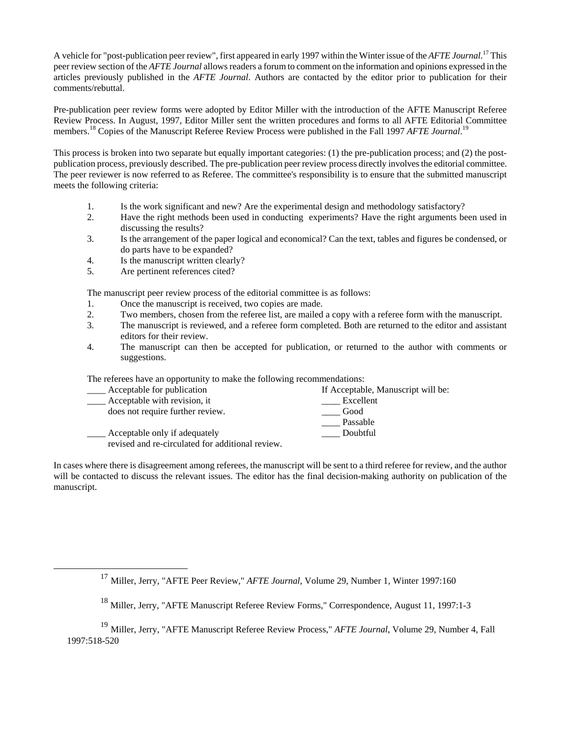A vehicle for "post-publication peer review", first appeared in early 1997 within the Winter issue of the *AFTE Journal*. 17 This peer review section of the *AFTE Journal* allows readers a forum to comment on the information and opinions expressed in the articles previously published in the *AFTE Journal*. Authors are contacted by the editor prior to publication for their comments/rebuttal.

Pre-publication peer review forms were adopted by Editor Miller with the introduction of the AFTE Manuscript Referee Review Process. In August, 1997, Editor Miller sent the written procedures and forms to all AFTE Editorial Committee members.<sup>18</sup> Copies of the Manuscript Referee Review Process were published in the Fall 1997 *AFTE Journal*.<sup>19</sup>

This process is broken into two separate but equally important categories: (1) the pre-publication process; and (2) the postpublication process, previously described. The pre-publication peer review process directly involves the editorial committee. The peer reviewer is now referred to as Referee. The committee's responsibility is to ensure that the submitted manuscript meets the following criteria:

- 1. Is the work significant and new? Are the experimental design and methodology satisfactory?
- 2. Have the right methods been used in conducting experiments? Have the right arguments been used in discussing the results?
- 3. Is the arrangement of the paper logical and economical? Can the text, tables and figures be condensed, or do parts have to be expanded?
- 4. Is the manuscript written clearly?
- 5. Are pertinent references cited?

The manuscript peer review process of the editorial committee is as follows:

- 1. Once the manuscript is received, two copies are made.
- 2. Two members, chosen from the referee list, are mailed a copy with a referee form with the manuscript.
- 3. The manuscript is reviewed, and a referee form completed. Both are returned to the editor and assistant editors for their review.
- 4. The manuscript can then be accepted for publication, or returned to the author with comments or suggestions.

The referees have an opportunity to make the following recommendations:

| Acceptable for publication                       | If Acceptable, Manuscript will be: |
|--------------------------------------------------|------------------------------------|
| Acceptable with revision, it                     | Excellent                          |
| does not require further review.                 | Good                               |
|                                                  | Passable                           |
| Acceptable only if adequately                    | Doubtful                           |
| revised and re-circulated for additional review. |                                    |

In cases where there is disagreement among referees, the manuscript will be sent to a third referee for review, and the author will be contacted to discuss the relevant issues. The editor has the final decision-making authority on publication of the manuscript.

 <sup>17</sup> Miller, Jerry, "AFTE Peer Review," *AFTE Journal*, Volume 29, Number 1, Winter 1997:160

<sup>18</sup> Miller, Jerry, "AFTE Manuscript Referee Review Forms," Correspondence, August 11, 1997:1-3

<sup>19</sup> Miller, Jerry, "AFTE Manuscript Referee Review Process," *AFTE Journal*, Volume 29, Number 4, Fall 1997:518-520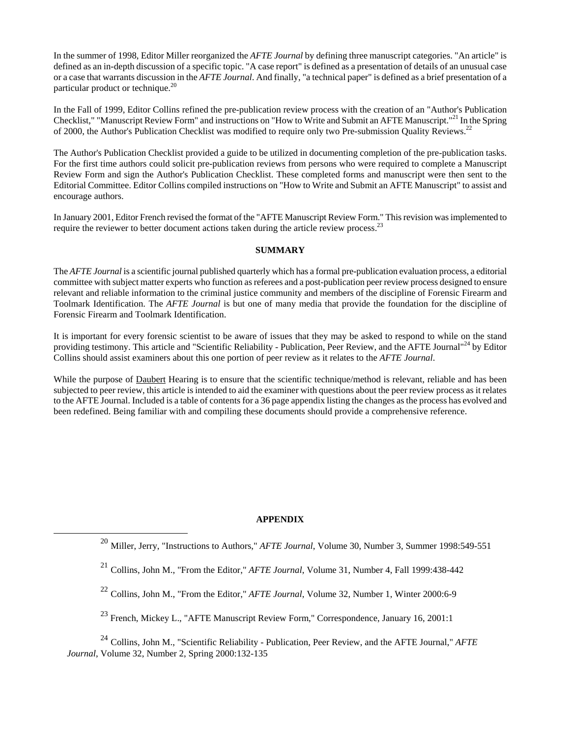In the summer of 1998, Editor Miller reorganized the *AFTE Journal* by defining three manuscript categories. "An article" is defined as an in-depth discussion of a specific topic. "A case report" is defined as a presentation of details of an unusual case or a case that warrants discussion in the *AFTE Journal*. And finally, "a technical paper" is defined as a brief presentation of a particular product or technique.<sup>20</sup>

In the Fall of 1999, Editor Collins refined the pre-publication review process with the creation of an "Author's Publication Checklist," "Manuscript Review Form" and instructions on "How to Write and Submit an AFTE Manuscript."<sup>21</sup> In the Spring of 2000, the Author's Publication Checklist was modified to require only two Pre-submission Quality Reviews.<sup>22</sup>

The Author's Publication Checklist provided a guide to be utilized in documenting completion of the pre-publication tasks. For the first time authors could solicit pre-publication reviews from persons who were required to complete a Manuscript Review Form and sign the Author's Publication Checklist. These completed forms and manuscript were then sent to the Editorial Committee. Editor Collins compiled instructions on "How to Write and Submit an AFTE Manuscript" to assist and encourage authors.

In January 2001, Editor French revised the format of the "AFTE Manuscript Review Form." This revision was implemented to require the reviewer to better document actions taken during the article review process.<sup>23</sup>

## **SUMMARY**

The *AFTE Journal* is a scientific journal published quarterly which has a formal pre-publication evaluation process, a editorial committee with subject matter experts who function as referees and a post-publication peer review process designed to ensure relevant and reliable information to the criminal justice community and members of the discipline of Forensic Firearm and Toolmark Identification. The *AFTE Journal* is but one of many media that provide the foundation for the discipline of Forensic Firearm and Toolmark Identification.

It is important for every forensic scientist to be aware of issues that they may be asked to respond to while on the stand providing testimony. This article and "Scientific Reliability - Publication, Peer Review, and the AFTE Journal"24 by Editor Collins should assist examiners about this one portion of peer review as it relates to the *AFTE Journal*.

While the purpose of **Daubert** Hearing is to ensure that the scientific technique/method is relevant, reliable and has been subjected to peer review, this article is intended to aid the examiner with questions about the peer review process as it relates to the AFTE Journal. Included is a table of contents for a 36 page appendix listing the changes as the process has evolved and been redefined. Being familiar with and compiling these documents should provide a comprehensive reference.

# **APPENDIX**

 $^{23}$  French, Mickey L., "AFTE Manuscript Review Form," Correspondence, January 16, 2001:1

<sup>24</sup> Collins, John M., "Scientific Reliability - Publication, Peer Review, and the AFTE Journal," *AFTE Journal*, Volume 32, Number 2, Spring 2000:132-135

 <sup>20</sup> Miller, Jerry, "Instructions to Authors," *AFTE Journal*, Volume 30, Number 3, Summer 1998:549-551

<sup>21</sup> Collins, John M., "From the Editor," *AFTE Journal*, Volume 31, Number 4, Fall 1999:438-442

<sup>22</sup> Collins, John M., "From the Editor," *AFTE Journal*, Volume 32, Number 1, Winter 2000:6-9